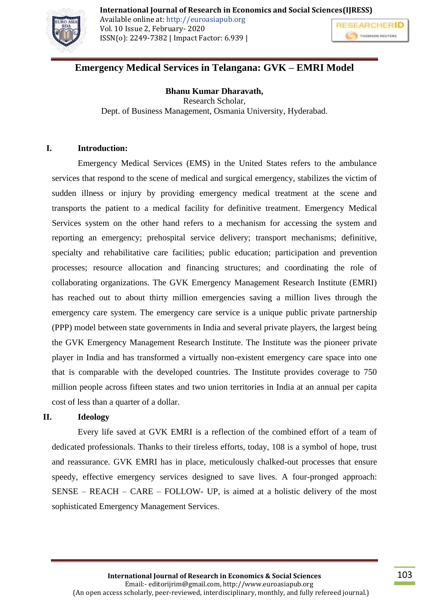

# **Emergency Medical Services in Telangana: GVK – EMRI Model**

#### **Bhanu Kumar Dharavath,**

Research Scholar, Dept. of Business Management, Osmania University, Hyderabad.

### **I. Introduction:**

Emergency Medical Services (EMS) in the United States refers to the ambulance services that respond to the scene of medical and surgical emergency, stabilizes the victim of sudden illness or injury by providing emergency medical treatment at the scene and transports the patient to a medical facility for definitive treatment. Emergency Medical Services system on the other hand refers to a mechanism for accessing the system and reporting an emergency; prehospital service delivery; transport mechanisms; definitive, specialty and rehabilitative care facilities; public education; participation and prevention processes; resource allocation and financing structures; and coordinating the role of collaborating organizations. The GVK Emergency Management Research Institute (EMRI) has reached out to about thirty million emergencies saving a million lives through the emergency care system. The emergency care service is a unique public private partnership (PPP) model between state governments in India and several private players, the largest being the GVK Emergency Management Research Institute. The Institute was the pioneer private player in India and has transformed a virtually non-existent emergency care space into one that is comparable with the developed countries. The Institute provides coverage to 750 million people across fifteen states and two union territories in India at an annual per capita cost of less than a quarter of a dollar.

### **II. Ideology**

Every life saved at GVK EMRI is a reflection of the combined effort of a team of dedicated professionals. Thanks to their tireless efforts, today, 108 is a symbol of hope, trust and reassurance. GVK EMRI has in place, meticulously chalked-out processes that ensure speedy, effective emergency services designed to save lives. A four-pronged approach: SENSE – REACH – CARE – FOLLOW- UP, is aimed at a holistic delivery of the most sophisticated Emergency Management Services.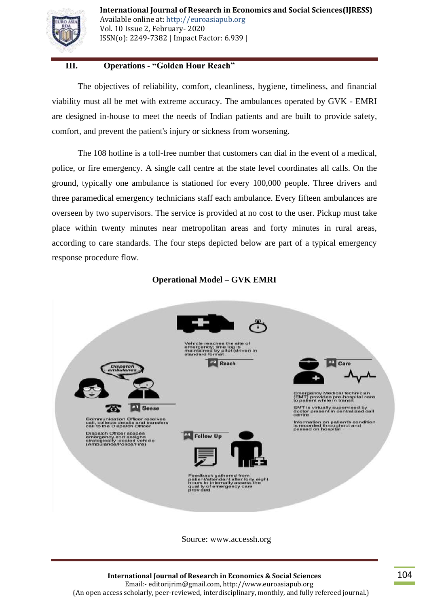

# **III. Operations - "Golden Hour Reach"**

The objectives of reliability, comfort, cleanliness, hygiene, timeliness, and financial viability must all be met with extreme accuracy. The ambulances operated by GVK - EMRI are designed in-house to meet the needs of Indian patients and are built to provide safety, comfort, and prevent the patient's injury or sickness from worsening.

The 108 hotline is a toll-free number that customers can dial in the event of a medical, police, or fire emergency. A single call centre at the state level coordinates all calls. On the ground, typically one ambulance is stationed for every 100,000 people. Three drivers and three paramedical emergency technicians staff each ambulance. Every fifteen ambulances are overseen by two supervisors. The service is provided at no cost to the user. Pickup must take place within twenty minutes near metropolitan areas and forty minutes in rural areas, according to care standards. The four steps depicted below are part of a typical emergency response procedure flow.

### **Operational Model – GVK EMRI**



Source: www.accessh.org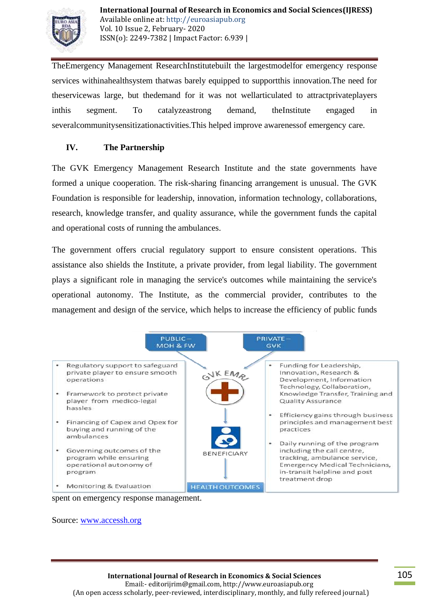

TheEmergency Management ResearchInstitutebuilt the largestmodelfor emergency response services withinahealthsystem thatwas barely equipped to supportthis innovation.The need for theservicewas large, but thedemand for it was not wellarticulated to attractprivateplayers inthis segment. To catalyzeastrong demand, theInstitute engaged in severalcommunitysensitizationactivities.This helped improve awarenessof emergency care.

# **IV. The Partnership**

The GVK Emergency Management Research Institute and the state governments have formed a unique cooperation. The risk-sharing financing arrangement is unusual. The GVK Foundation is responsible for leadership, innovation, information technology, collaborations, research, knowledge transfer, and quality assurance, while the government funds the capital and operational costs of running the ambulances.

The government offers crucial regulatory support to ensure consistent operations. This assistance also shields the Institute, a private provider, from legal liability. The government plays a significant role in managing the service's outcomes while maintaining the service's operational autonomy. The Institute, as the commercial provider, contributes to the management and design of the service, which helps to increase the efficiency of public funds



spent on emergency response management.

Source: [www.accessh.org](http://www.accessh.org/)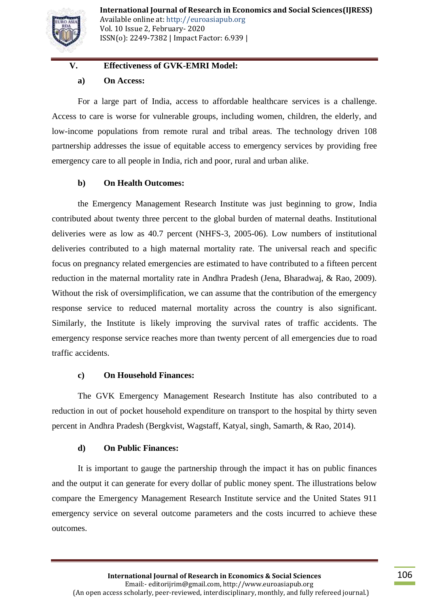

# **V. Effectiveness of GVK-EMRI Model:**

### **a) On Access:**

For a large part of India, access to affordable healthcare services is a challenge. Access to care is worse for vulnerable groups, including women, children, the elderly, and low-income populations from remote rural and tribal areas. The technology driven 108 partnership addresses the issue of equitable access to emergency services by providing free emergency care to all people in India, rich and poor, rural and urban alike.

# **b) On Health Outcomes:**

the Emergency Management Research Institute was just beginning to grow, India contributed about twenty three percent to the global burden of maternal deaths. Institutional deliveries were as low as 40.7 percent (NHFS-3, 2005-06). Low numbers of institutional deliveries contributed to a high maternal mortality rate. The universal reach and specific focus on pregnancy related emergencies are estimated to have contributed to a fifteen percent reduction in the maternal mortality rate in Andhra Pradesh (Jena, Bharadwaj, & Rao, 2009). Without the risk of oversimplification, we can assume that the contribution of the emergency response service to reduced maternal mortality across the country is also significant. Similarly, the Institute is likely improving the survival rates of traffic accidents. The emergency response service reaches more than twenty percent of all emergencies due to road traffic accidents.

# **c) On Household Finances:**

The GVK Emergency Management Research Institute has also contributed to a reduction in out of pocket household expenditure on transport to the hospital by thirty seven percent in Andhra Pradesh (Bergkvist, Wagstaff, Katyal, singh, Samarth, & Rao, 2014).

# **d) On Public Finances:**

It is important to gauge the partnership through the impact it has on public finances and the output it can generate for every dollar of public money spent. The illustrations below compare the Emergency Management Research Institute service and the United States 911 emergency service on several outcome parameters and the costs incurred to achieve these outcomes.